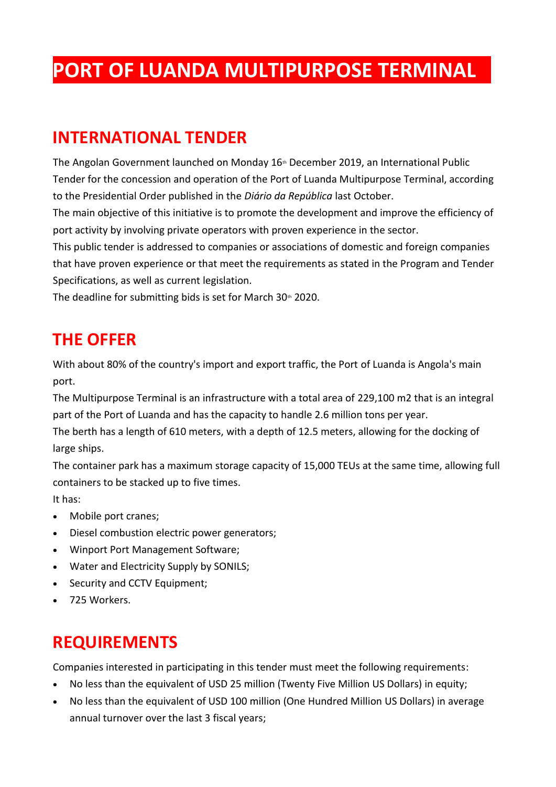# **PORT OF LUANDA MULTIPURPOSE TERMINAL**

# **INTERNATIONAL TENDER**

The Angolan Government launched on Monday  $16<sup>th</sup>$  December 2019, an International Public Tender for the concession and operation of the Port of Luanda Multipurpose Terminal, according to the Presidential Order published in the *Diário da República* last October.

The main objective of this initiative is to promote the development and improve the efficiency of port activity by involving private operators with proven experience in the sector.

This public tender is addressed to companies or associations of domestic and foreign companies that have proven experience or that meet the requirements as stated in the Program and Tender Specifications, as well as current legislation.

The deadline for submitting bids is set for March  $30<sup>th</sup>$  2020.

# **THE OFFER**

With about 80% of the country's import and export traffic, the Port of Luanda is Angola's main port.

The Multipurpose Terminal is an infrastructure with a total area of 229,100 m2 that is an integral part of the Port of Luanda and has the capacity to handle 2.6 million tons per year.

The berth has a length of 610 meters, with a depth of 12.5 meters, allowing for the docking of large ships.

The container park has a maximum storage capacity of 15,000 TEUs at the same time, allowing full containers to be stacked up to five times.

It has:

- Mobile port cranes;
- Diesel combustion electric power generators;
- Winport Port Management Software;
- Water and Electricity Supply by SONILS;
- Security and CCTV Equipment;
- 725 Workers.

# **REQUIREMENTS**

Companies interested in participating in this tender must meet the following requirements:

- No less than the equivalent of USD 25 million (Twenty Five Million US Dollars) in equity;
- No less than the equivalent of USD 100 million (One Hundred Million US Dollars) in average annual turnover over the last 3 fiscal years;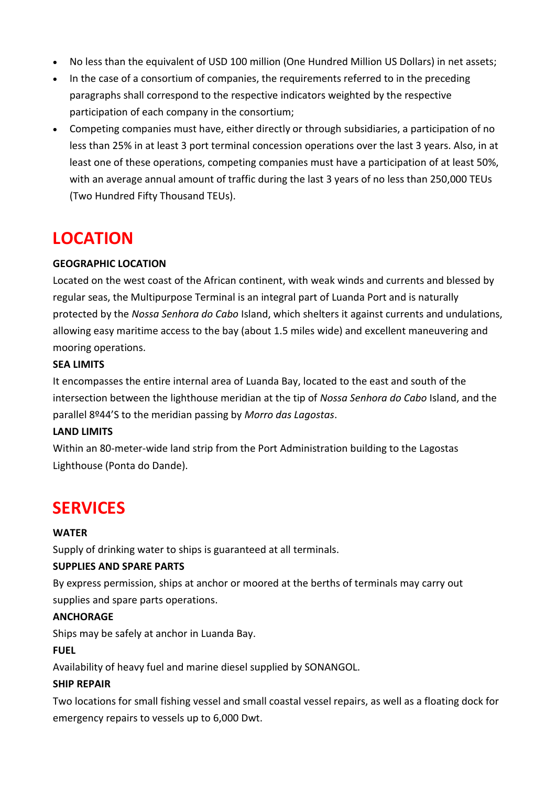- No less than the equivalent of USD 100 million (One Hundred Million US Dollars) in net assets;
- In the case of a consortium of companies, the requirements referred to in the preceding paragraphs shall correspond to the respective indicators weighted by the respective participation of each company in the consortium;
- Competing companies must have, either directly or through subsidiaries, a participation of no less than 25% in at least 3 port terminal concession operations over the last 3 years. Also, in at least one of these operations, competing companies must have a participation of at least 50%, with an average annual amount of traffic during the last 3 years of no less than 250,000 TEUs (Two Hundred Fifty Thousand TEUs).

# **LOCATION**

#### **GEOGRAPHIC LOCATION**

Located on the west coast of the African continent, with weak winds and currents and blessed by regular seas, the Multipurpose Terminal is an integral part of Luanda Port and is naturally protected by the *Nossa Senhora do Cabo* Island, which shelters it against currents and undulations, allowing easy maritime access to the bay (about 1.5 miles wide) and excellent maneuvering and mooring operations.

#### **SEA LIMITS**

It encompasses the entire internal area of Luanda Bay, located to the east and south of the intersection between the lighthouse meridian at the tip of *Nossa Senhora do Cabo* Island, and the parallel 8º44'S to the meridian passing by *Morro das Lagostas*.

#### **LAND LIMITS**

Within an 80-meter-wide land strip from the Port Administration building to the Lagostas Lighthouse (Ponta do Dande).

# **SERVICES**

#### **WATER**

Supply of drinking water to ships is guaranteed at all terminals.

#### **SUPPLIES AND SPARE PARTS**

By express permission, ships at anchor or moored at the berths of terminals may carry out supplies and spare parts operations.

#### **ANCHORAGE**

Ships may be safely at anchor in Luanda Bay.

### **FUEL**

Availability of heavy fuel and marine diesel supplied by SONANGOL.

#### **SHIP REPAIR**

Two locations for small fishing vessel and small coastal vessel repairs, as well as a floating dock for emergency repairs to vessels up to 6,000 Dwt.